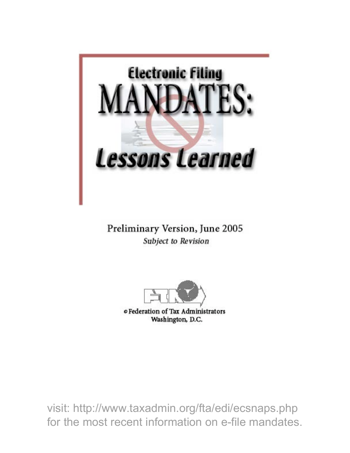

Preliminary Version, June 2005 Subject to Revision



Washington, D.C.

visit: http://www.taxadmin.org/fta/edi/ecsnaps.php for the most recent information on e-file mandates.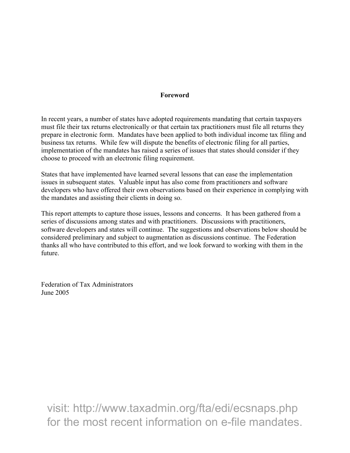#### Foreword

In recent years, a number of states have adopted requirements mandating that certain taxpayers must file their tax returns electronically or that certain tax practitioners must file all returns they prepare in electronic form. Mandates have been applied to both individual income tax filing and business tax returns. While few will dispute the benefits of electronic filing for all parties, implementation of the mandates has raised a series of issues that states should consider if they choose to proceed with an electronic filing requirement.

States that have implemented have learned several lessons that can ease the implementation issues in subsequent states. Valuable input has also come from practitioners and software developers who have offered their own observations based on their experience in complying with the mandates and assisting their clients in doing so.

This report attempts to capture those issues, lessons and concerns. It has been gathered from a series of discussions among states and with practitioners. Discussions with practitioners, software developers and states will continue. The suggestions and observations below should be considered preliminary and subject to augmentation as discussions continue. The Federation thanks all who have contributed to this effort, and we look forward to working with them in the future.

Federation of Tax Administrators June 2005

visit: http://www.taxadmin.org/fta/edi/ecsnaps.php for the most recent information on e-file mandates.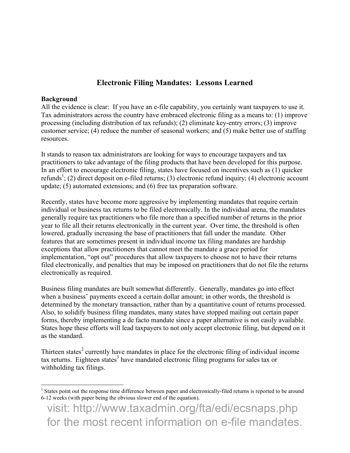# Electronic Filing Mandates: Lessons Learned

#### Background

All the evidence is clear: If you have an e-file capability, you certainly want taxpayers to use it. Tax administrators across the country have embraced electronic filing as a means to: (1) improve processing (including distribution of tax refunds); (2) eliminate key-entry errors; (3) improve customer service; (4) reduce the number of seasonal workers; and (5) make better use of staffing resources.

It stands to reason tax administrators are looking for ways to encourage taxpayers and tax practitioners to take advantage of the filing products that have been developed for this purpose. In an effort to encourage electronic filing, states have focused on incentives such as (1) quicker refunds<sup>1</sup>; (2) direct deposit on e-filed returns; (3) electronic refund inquiry; (4) electronic account update; (5) automated extensions; and (6) free tax preparation software.

Recently, states have become more aggressive by implementing mandates that require certain individual or business tax returns to be filed electronically. In the individual arena, the mandates generally require tax practitioners who file more than a specified number of returns in the prior year to file all their returns electronically in the current year. Over time, the threshold is often lowered, gradually increasing the base of practitioners that fall under the mandate. Other features that are sometimes present in individual income tax filing mandates are hardship exceptions that allow practitioners that cannot meet the mandate a grace period for implementation, "opt out" procedures that allow taxpayers to choose not to have their returns filed electronically, and penalties that may be imposed on practitioners that do not file the returns electronically as required.

Business filing mandates are built somewhat differently. Generally, mandates go into effect when a business' payments exceed a certain dollar amount; in other words, the threshold is determined by the monetary transaction, rather than by a quantitative count of returns processed. Also, to solidify business filing mandates, many states have stopped mailing out certain paper forms, thereby implementing a de facto mandate since a paper alternative is not easily available. States hope these efforts will lead taxpayers to not only accept electronic filing, but depend on it as the standard.

Thirteen states<sup>2</sup> currently have mandates in place for the electronic filing of individual income tax returns. Eighteen states<sup>3</sup> have mandated electronic filing programs for sales tax or withholding tax filings.

<sup>&</sup>lt;sup>1</sup> States point out the response time difference between paper and electronically-filed returns is reported to be around 6-12 weeks (with paper being the obvious slower end of the equation).

visit: http://www.taxadmin.org/fta/edi/ecsnaps.php for the most recent information on e-file mandates.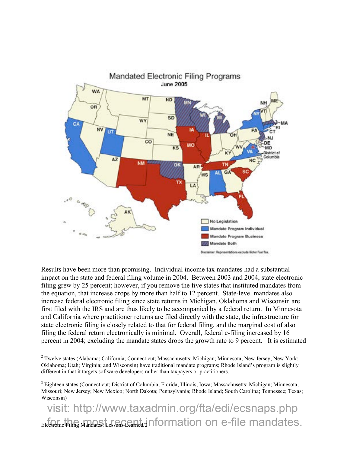

Results have been more than promising. Individual income tax mandates had a substantial impact on the state and federal filing volume in 2004. Between 2003 and 2004, state electronic filing grew by 25 percent; however, if you remove the five states that instituted mandates from the equation, that increase drops by more than half to 12 percent. State-level mandates also increase federal electronic filing since state returns in Michigan, Oklahoma and Wisconsin are first filed with the IRS and are thus likely to be accompanied by a federal return. In Minnesota and California where practitioner returns are filed directly with the state, the infrastructure for state electronic filing is closely related to that for federal filing, and the marginal cost of also filing the federal return electronically is minimal. Overall, federal e-filing increased by 16 percent in 2004; excluding the mandate states drops the growth rate to 9 percent. It is estimated

<sup>2</sup> Twelve states (Alabama; California; Connecticut; Massachusetts; Michigan; Minnesota; New Jersey; New York; Oklahoma; Utah; Virginia; and Wisconsin) have traditional mandate programs; Rhode Island's program is slightly different in that it targets software developers rather than taxpayers or practitioners.

 $\overline{a}$ 

<sup>3</sup> Eighteen states (Connecticut; District of Columbia; Florida; Illinois; Iowa; Massachusetts; Michigan; Minnesota; Missouri; New Jersey; New Mexico; North Dakota; Pennsylvania; Rhode Island; South Carolina; Tennessee; Texas; Wisconsin)

 $_{\rm Elec}$ Filing Mandates: Lessons Coanda/2 information on e-file mandates. visit: http://www.taxadmin.org/fta/edi/ecsnaps.php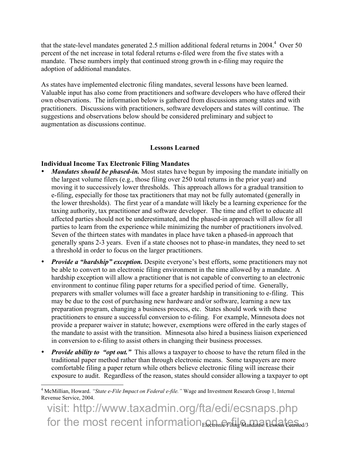that the state-level mandates generated 2.5 million additional federal returns in 2004.<sup>4</sup> Over 50 percent of the net increase in total federal returns e-filed were from the five states with a mandate. These numbers imply that continued strong growth in e-filing may require the adoption of additional mandates.

As states have implemented electronic filing mandates, several lessons have been learned. Valuable input has also come from practitioners and software developers who have offered their own observations. The information below is gathered from discussions among states and with practitioners. Discussions with practitioners, software developers and states will continue. The suggestions and observations below should be considered preliminary and subject to augmentation as discussions continue.

### Lessons Learned

## Individual Income Tax Electronic Filing Mandates

- *Mandates should be phased-in.* Most states have begun by imposing the mandate initially on the largest volume filers (e.g., those filing over 250 total returns in the prior year) and moving it to successively lower thresholds. This approach allows for a gradual transition to e-filing, especially for those tax practitioners that may not be fully automated (generally in the lower thresholds). The first year of a mandate will likely be a learning experience for the taxing authority, tax practitioner and software developer. The time and effort to educate all affected parties should not be underestimated, and the phased-in approach will allow for all parties to learn from the experience while minimizing the number of practitioners involved. Seven of the thirteen states with mandates in place have taken a phased-in approach that generally spans 2-3 years. Even if a state chooses not to phase-in mandates, they need to set a threshold in order to focus on the larger practitioners.
- *Provide a "hardship" exception.* Despite everyone's best efforts, some practitioners may not be able to convert to an electronic filing environment in the time allowed by a mandate. A hardship exception will allow a practitioner that is not capable of converting to an electronic environment to continue filing paper returns for a specified period of time. Generally, preparers with smaller volumes will face a greater hardship in transitioning to e-filing. This may be due to the cost of purchasing new hardware and/or software, learning a new tax preparation program, changing a business process, etc. States should work with these practitioners to ensure a successful conversion to e-filing. For example, Minnesota does not provide a preparer waiver in statute; however, exemptions were offered in the early stages of the mandate to assist with the transition. Minnesota also hired a business liaison experienced in conversion to e-filing to assist others in changing their business processes.
- *Provide ability to "opt out."* This allows a taxpayer to choose to have the return filed in the traditional paper method rather than through electronic means. Some taxpayers are more comfortable filing a paper return while others believe electronic filing will increase their exposure to audit. Regardless of the reason, states should consider allowing a taxpayer to opt

 4 McMillian, Howard. *"State e-File Impact on Federal e-file."* Wage and Investment Research Group 1, Internal Revenue Service, 2004.

for the most recent information $_{\rm E}$  and  $_{\rm F}$  ,  $_{\rm H_2}$   $_{\rm A}$  and at  $_{\rm H_2}$  and  $_{\rm A}$  teamind/3 visit: http://www.taxadmin.org/fta/edi/ecsnaps.php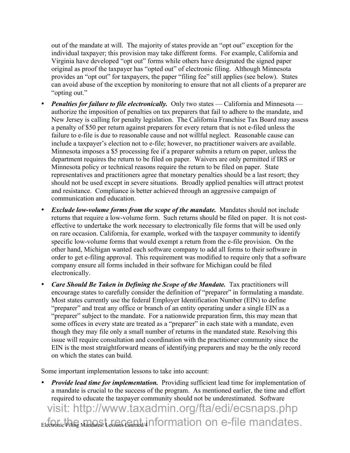out of the mandate at will. The majority of states provide an "opt out" exception for the individual taxpayer; this provision may take different forms. For example, California and Virginia have developed "opt out" forms while others have designated the signed paper original as proof the taxpayer has "opted out" of electronic filing. Although Minnesota provides an "opt out" for taxpayers, the paper "filing fee" still applies (see below). States can avoid abuse of the exception by monitoring to ensure that not all clients of a preparer are "opting out."

- *Penalties for failure to file electronically.* Only two states California and Minnesota authorize the imposition of penalties on tax preparers that fail to adhere to the mandate, and New Jersey is calling for penalty legislation. The California Franchise Tax Board may assess a penalty of \$50 per return against preparers for every return that is not e-filed unless the failure to e-file is due to reasonable cause and not willful neglect. Reasonable cause can include a taxpayer's election not to e-file; however, no practitioner waivers are available. Minnesota imposes a \$5 processing fee if a preparer submits a return on paper, unless the department requires the return to be filed on paper. Waivers are only permitted if IRS or Minnesota policy or technical reasons require the return to be filed on paper. State representatives and practitioners agree that monetary penalties should be a last resort; they should not be used except in severe situations. Broadly applied penalties will attract protest and resistance. Compliance is better achieved through an aggressive campaign of communication and education.
- *Exclude low-volume forms from the scope of the mandate.* Mandates should not include returns that require a low-volume form. Such returns should be filed on paper. It is not costeffective to undertake the work necessary to electronically file forms that will be used only on rare occasion. California, for example, worked with the taxpayer community to identify specific low-volume forms that would exempt a return from the e-file provision. On the other hand, Michigan wanted each software company to add all forms to their software in order to get e-filing approval. This requirement was modified to require only that a software company ensure all forms included in their software for Michigan could be filed electronically.
- *Care Should Be Taken in Defining the Scope of the Mandate.* Tax practitioners will encourage states to carefully consider the definition of "preparer" in formulating a mandate. Most states currently use the federal Employer Identification Number (EIN) to define "preparer" and treat any office or branch of an entity operating under a single EIN as a "preparer" subject to the mandate. For a nationwide preparation firm, this may mean that some offices in every state are treated as a "preparer" in each state with a mandate, even though they may file only a small number of returns in the mandated state. Resolving this issue will require consultation and coordination with the practitioner community since the EIN is the most straightforward means of identifying preparers and may be the only record on which the states can build.

Some important implementation lessons to take into account:

• *Provide lead time for implementation.* Providing sufficient lead time for implementation of a mandate is crucial to the success of the program. As mentioned earlier, the time and effort required to educate the taxpayer community should not be underestimated. Software

 $_{\rm Elec}$ Filing Mandates: Lessons Coanda/4 information on e-file mandates. visit: http://www.taxadmin.org/fta/edi/ecsnaps.php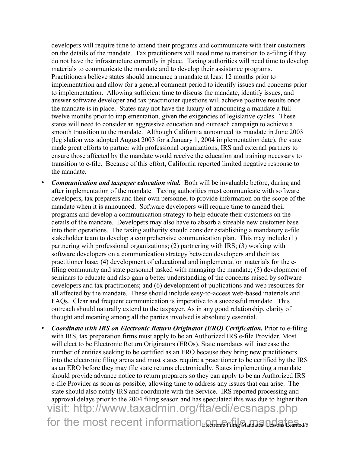developers will require time to amend their programs and communicate with their customers on the details of the mandate. Tax practitioners will need time to transition to e-filing if they do not have the infrastructure currently in place. Taxing authorities will need time to develop materials to communicate the mandate and to develop their assistance programs. Practitioners believe states should announce a mandate at least 12 months prior to implementation and allow for a general comment period to identify issues and concerns prior to implementation. Allowing sufficient time to discuss the mandate, identify issues, and answer software developer and tax practitioner questions will achieve positive results once the mandate is in place. States may not have the luxury of announcing a mandate a full twelve months prior to implementation, given the exigencies of legislative cycles. These states will need to consider an aggressive education and outreach campaign to achieve a smooth transition to the mandate. Although California announced its mandate in June 2003 (legislation was adopted August 2003 for a January 1, 2004 implementation date), the state made great efforts to partner with professional organizations, IRS and external partners to ensure those affected by the mandate would receive the education and training necessary to transition to e-file. Because of this effort, California reported limited negative response to the mandate.

- *Communication and taxpayer education vital.* Both will be invaluable before, during and after implementation of the mandate. Taxing authorities must communicate with software developers, tax preparers and their own personnel to provide information on the scope of the mandate when it is announced. Software developers will require time to amend their programs and develop a communication strategy to help educate their customers on the details of the mandate. Developers may also have to absorb a sizeable new customer base into their operations. The taxing authority should consider establishing a mandatory e-file stakeholder team to develop a comprehensive communication plan. This may include (1) partnering with professional organizations; (2) partnering with IRS; (3) working with software developers on a communication strategy between developers and their tax practitioner base; (4) development of educational and implementation materials for the efiling community and state personnel tasked with managing the mandate; (5) development of seminars to educate and also gain a better understanding of the concerns raised by software developers and tax practitioners; and (6) development of publications and web resources for all affected by the mandate. These should include easy-to-access web-based materials and FAQs. Clear and frequent communication is imperative to a successful mandate. This outreach should naturally extend to the taxpayer. As in any good relationship, clarity of thought and meaning among all the parties involved is absolutely essential.
- for the most recent information $_{\rm E}$  and  $_{\rm F}$  if it gas termination  $_{\rm E}$  and  $_{\rm E}$  and  $_{\rm E}$  and  $_{\rm E}$  and  $_{\rm G}$ • *Coordinate with IRS on Electronic Return Originator (ERO) Certification.* Prior to e-filing with IRS, tax preparation firms must apply to be an Authorized IRS e-file Provider. Most will elect to be Electronic Return Originators (EROs). State mandates will increase the number of entities seeking to be certified as an ERO because they bring new practitioners into the electronic filing arena and most states require a practitioner to be certified by the IRS as an ERO before they may file state returns electronically. States implementing a mandate should provide advance notice to return preparers so they can apply to be an Authorized IRS e-file Provider as soon as possible, allowing time to address any issues that can arise. The state should also notify IRS and coordinate with the Service. IRS reported processing and approval delays prior to the 2004 filing season and has speculated this was due to higher than visit: http://www.taxadmin.org/fta/edi/ecsnaps.php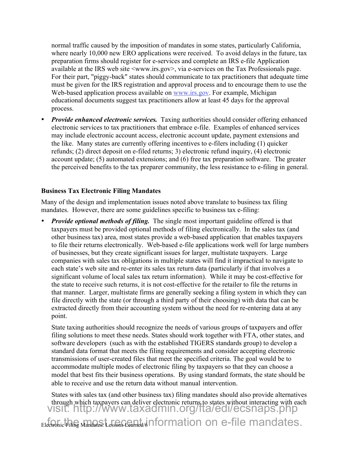normal traffic caused by the imposition of mandates in some states, particularly California, where nearly 10,000 new ERO applications were received. To avoid delays in the future, tax preparation firms should register for e-services and complete an IRS e-file Application available at the IRS web site <www.irs.gov>, via e-services on the Tax Professionals page. For their part, "piggy-back" states should communicate to tax practitioners that adequate time must be given for the IRS registration and approval process and to encourage them to use the Web-based application process available on www.irs.gov. For example, Michigan educational documents suggest tax practitioners allow at least 45 days for the approval process.

• *Provide enhanced electronic services.* Taxing authorities should consider offering enhanced electronic services to tax practitioners that embrace e-file. Examples of enhanced services may include electronic account access, electronic account update, payment extensions and the like. Many states are currently offering incentives to e-filers including (1) quicker refunds; (2) direct deposit on e-filed returns; 3) electronic refund inquiry, (4) electronic account update; (5) automated extensions; and (6) free tax preparation software. The greater the perceived benefits to the tax preparer community, the less resistance to e-filing in general.

### Business Tax Electronic Filing Mandates

Many of the design and implementation issues noted above translate to business tax filing mandates. However, there are some guidelines specific to business tax e-filing:

• *Provide optional methods of filing.* The single most important guideline offered is that taxpayers must be provided optional methods of filing electronically. In the sales tax (and other business tax) area, most states provide a web-based application that enables taxpayers to file their returns electronically. Web-based e-file applications work well for large numbers of businesses, but they create significant issues for larger, multistate taxpayers. Large companies with sales tax obligations in multiple states will find it impractical to navigate to each state's web site and re-enter its sales tax return data (particularly if that involves a significant volume of local sales tax return information). While it may be cost-effective for the state to receive such returns, it is not cost-effective for the retailer to file the returns in that manner. Larger, multistate firms are generally seeking a filing system in which they can file directly with the state (or through a third party of their choosing) with data that can be extracted directly from their accounting system without the need for re-entering data at any point.

State taxing authorities should recognize the needs of various groups of taxpayers and offer filing solutions to meet these needs. States should work together with FTA, other states, and software developers (such as with the established TIGERS standards group) to develop a standard data format that meets the filing requirements and consider accepting electronic transmissions of user-created files that meet the specified criteria. The goal would be to accommodate multiple modes of electronic filing by taxpayers so that they can choose a model that best fits their business operations. By using standard formats, the state should be able to receive and use the return data without manual intervention.

 $\epsilon$ lectronic Filing Mandates: Lessons Coamed/d nformation on e-file mandates. States with sales tax (and other business tax) filing mandates should also provide alternatives through which taxpayers can deliver electronic returns to states without interacting with each visit: http://www.taxadmin.org/fta/edi/ecsnaps.php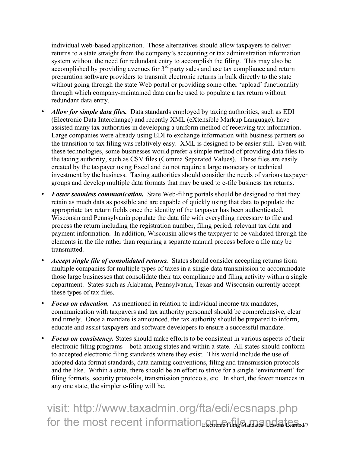individual web-based application. Those alternatives should allow taxpayers to deliver returns to a state straight from the company's accounting or tax administration information system without the need for redundant entry to accomplish the filing. This may also be accomplished by providing avenues for  $3<sup>rd</sup>$  party sales and use tax compliance and return preparation software providers to transmit electronic returns in bulk directly to the state without going through the state Web portal or providing some other 'upload' functionality through which company-maintained data can be used to populate a tax return without redundant data entry.

- *Allow for simple data files.* Data standards employed by taxing authorities, such as EDI (Electronic Data Interchange) and recently XML (eXtensible Markup Language), have assisted many tax authorities in developing a uniform method of receiving tax information. Large companies were already using EDI to exchange information with business partners so the transition to tax filing was relatively easy. XML is designed to be easier still. Even with these technologies, some businesses would prefer a simple method of providing data files to the taxing authority, such as CSV files (Comma Separated Values). These files are easily created by the taxpayer using Excel and do not require a large monetary or technical investment by the business. Taxing authorities should consider the needs of various taxpayer groups and develop multiple data formats that may be used to e-file business tax returns.
- *Foster seamless communication.* State Web-filing portals should be designed to that they retain as much data as possible and are capable of quickly using that data to populate the appropriate tax return fields once the identity of the taxpayer has been authenticated. Wisconsin and Pennsylvania populate the data file with everything necessary to file and process the return including the registration number, filing period, relevant tax data and payment information. In addition, Wisconsin allows the taxpayer to be validated through the elements in the file rather than requiring a separate manual process before a file may be transmitted.
- *Accept single file of consolidated returns.* States should consider accepting returns from multiple companies for multiple types of taxes in a single data transmission to accommodate those large businesses that consolidate their tax compliance and filing activity within a single department. States such as Alabama, Pennsylvania, Texas and Wisconsin currently accept these types of tax files.
- *Focus on education.* As mentioned in relation to individual income tax mandates, communication with taxpayers and tax authority personnel should be comprehensive, clear and timely. Once a mandate is announced, the tax authority should be prepared to inform, educate and assist taxpayers and software developers to ensure a successful mandate.
- *Focus on consistency.* States should make efforts to be consistent in various aspects of their electronic filing programs—both among states and within a state. All states should conform to accepted electronic filing standards where they exist. This would include the use of adopted data format standards, data naming conventions, filing and transmission protocols and the like. Within a state, there should be an effort to strive for a single 'environment' for filing formats, security protocols, transmission protocols, etc. In short, the fewer nuances in any one state, the simpler e-filing will be.

for the most recent information $_{\rm E}$  and  $_{\rm F}$  if it g  $_{\rm A}$  and at all  $_{\rm A}$  teamind  $\prime$ visit: http://www.taxadmin.org/fta/edi/ecsnaps.php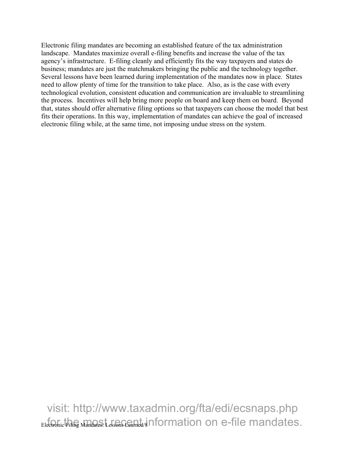Electronic filing mandates are becoming an established feature of the tax administration landscape. Mandates maximize overall e-filing benefits and increase the value of the tax agency's infrastructure. E-filing cleanly and efficiently fits the way taxpayers and states do business; mandates are just the matchmakers bringing the public and the technology together. Several lessons have been learned during implementation of the mandates now in place. States need to allow plenty of time for the transition to take place. Also, as is the case with every technological evolution, consistent education and communication are invaluable to streamlining the process. Incentives will help bring more people on board and keep them on board. Beyond that, states should offer alternative filing options so that taxpayers can choose the model that best fits their operations. In this way, implementation of mandates can achieve the goal of increased electronic filing while, at the same time, not imposing undue stress on the system.

 $\epsilon$ lectronic Filing Mandates: Lessons Coamed/8 <code>nformation</code> on e-file mandates. visit: http://www.taxadmin.org/fta/edi/ecsnaps.php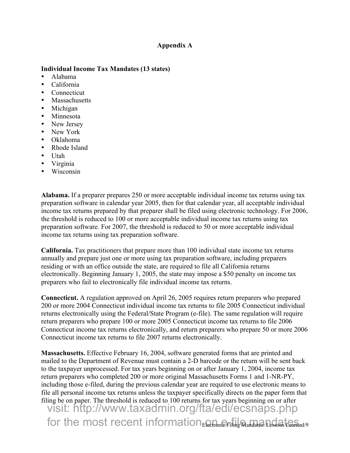#### Appendix A

#### Individual Income Tax Mandates (13 states)

- Alabama<br>• California
- California
- Connecticut
- **Massachusetts**
- Michigan
- Minnesota
- New Jersey
- New York
- Oklahoma
- Rhode Island
- Utah
- Virginia
- Wisconsin

Alabama. If a preparer prepares 250 or more acceptable individual income tax returns using tax preparation software in calendar year 2005, then for that calendar year, all acceptable individual income tax returns prepared by that preparer shall be filed using electronic technology. For 2006, the threshold is reduced to 100 or more acceptable individual income tax returns using tax preparation software. For 2007, the threshold is reduced to 50 or more acceptable individual income tax returns using tax preparation software.

California. Tax practitioners that prepare more than 100 individual state income tax returns annually and prepare just one or more using tax preparation software, including preparers residing or with an office outside the state, are required to file all California returns electronically. Beginning January 1, 2005, the state may impose a \$50 penalty on income tax preparers who fail to electronically file individual income tax returns.

Connecticut. A regulation approved on April 26, 2005 requires return preparers who prepared 200 or more 2004 Connecticut individual income tax returns to file 2005 Connecticut individual returns electronically using the Federal/State Program (e-file). The same regulation will require return preparers who prepare 100 or more 2005 Connecticut income tax returns to file 2006 Connecticut income tax returns electronically, and return preparers who prepare 50 or more 2006 Connecticut income tax returns to file 2007 returns electronically.

for the most recent information $_{\rm E}$  and  $_{\rm F}$  ,  $_{\rm H_2}$  mandates. Designs teaming  $\prime$  9 Massachusetts. Effective February 16, 2004, software generated forms that are printed and mailed to the Department of Revenue must contain a 2-D barcode or the return will be sent back to the taxpayer unprocessed. For tax years beginning on or after January 1, 2004, income tax return preparers who completed 200 or more original Massachusetts Forms 1 and 1-NR-PY, including those e-filed, during the previous calendar year are required to use electronic means to file all personal income tax returns unless the taxpayer specifically directs on the paper form that filing be on paper. The threshold is reduced to 100 returns for tax years beginning on or after visit: http://www.taxadmin.org/fta/edi/ecsnaps.php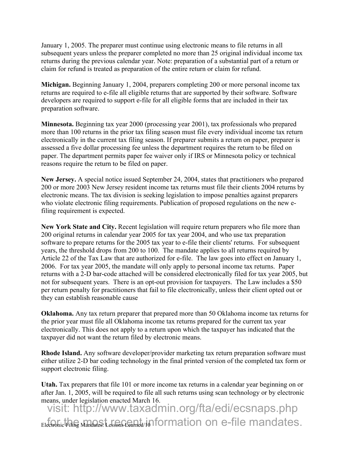January 1, 2005. The preparer must continue using electronic means to file returns in all subsequent years unless the preparer completed no more than 25 original individual income tax returns during the previous calendar year. Note: preparation of a substantial part of a return or claim for refund is treated as preparation of the entire return or claim for refund.

Michigan. Beginning January 1, 2004, preparers completing 200 or more personal income tax returns are required to e-file all eligible returns that are supported by their software. Software developers are required to support e-file for all eligible forms that are included in their tax preparation software.

Minnesota. Beginning tax year 2000 (processing year 2001), tax professionals who prepared more than 100 returns in the prior tax filing season must file every individual income tax return electronically in the current tax filing season. If preparer submits a return on paper, preparer is assessed a five dollar processing fee unless the department requires the return to be filed on paper. The department permits paper fee waiver only if IRS or Minnesota policy or technical reasons require the return to be filed on paper.

New Jersey. A special notice issued September 24, 2004, states that practitioners who prepared 200 or more 2003 New Jersey resident income tax returns must file their clients 2004 returns by electronic means. The tax division is seeking legislation to impose penalties against preparers who violate electronic filing requirements. Publication of proposed regulations on the new efiling requirement is expected.

New York State and City. Recent legislation will require return preparers who file more than 200 original returns in calendar year 2005 for tax year 2004, and who use tax preparation software to prepare returns for the 2005 tax year to e-file their clients' returns. For subsequent years, the threshold drops from 200 to 100. The mandate applies to all returns required by Article 22 of the Tax Law that are authorized for e-file. The law goes into effect on January 1, 2006. For tax year 2005, the mandate will only apply to personal income tax returns. Paper returns with a 2-D bar-code attached will be considered electronically filed for tax year 2005, but not for subsequent years. There is an opt-out provision for taxpayers. The Law includes a \$50 per return penalty for practitioners that fail to file electronically, unless their client opted out or they can establish reasonable cause

Oklahoma. Any tax return preparer that prepared more than 50 Oklahoma income tax returns for the prior year must file all Oklahoma income tax returns prepared for the current tax year electronically. This does not apply to a return upon which the taxpayer has indicated that the taxpayer did not want the return filed by electronic means.

Rhode Island. Any software developer/provider marketing tax return preparation software must either utilize 2-D bar coding technology in the final printed version of the completed tax form or support electronic filing.

Utah. Tax preparers that file 101 or more income tax returns in a calendar year beginning on or after Jan. 1, 2005, will be required to file all such returns using scan technology or by electronic means, under legislation enacted March 16.

 $_{\rm Elec}$ Filing Mandates: Lessons Coarned/Information on e-file mandates. visit: http://www.taxadmin.org/fta/edi/ecsnaps.php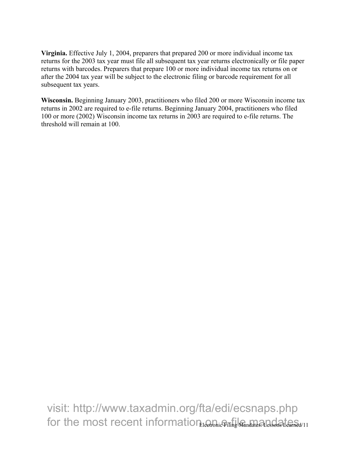Virginia. Effective July 1, 2004, preparers that prepared 200 or more individual income tax returns for the 2003 tax year must file all subsequent tax year returns electronically or file paper returns with barcodes. Preparers that prepare 100 or more individual income tax returns on or after the 2004 tax year will be subject to the electronic filing or barcode requirement for all subsequent tax years.

Wisconsin. Beginning January 2003, practitioners who filed 200 or more Wisconsin income tax returns in 2002 are required to e-file returns. Beginning January 2004, practitioners who filed 100 or more (2002) Wisconsin income tax returns in 2003 are required to e-file returns. The threshold will remain at 100.

for the most recent information  $\epsilon$  ieen binder and all sensor beam  $\epsilon_{d/11}$ visit: http://www.taxadmin.org/fta/edi/ecsnaps.php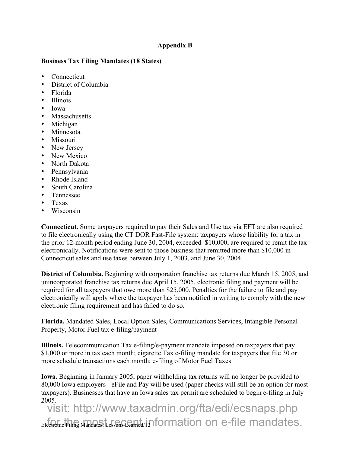### Appendix B

#### Business Tax Filing Mandates (18 States)

- Connecticut
- District of Columbia
- Florida
- Illinois
- Iowa
- Massachusetts
- Michigan
- Minnesota
- Missouri
- New Jersey
- New Mexico
- North Dakota
- Pennsylvania
- Rhode Island
- South Carolina
- Tennessee
- Texas
- Wisconsin

Connecticut. Some taxpayers required to pay their Sales and Use tax via EFT are also required to file electronically using the CT DOR Fast-File system: taxpayers whose liability for a tax in the prior 12-month period ending June 30, 2004, exceeded \$10,000, are required to remit the tax electronically. Notifications were sent to those business that remitted more than \$10,000 in Connecticut sales and use taxes between July 1, 2003, and June 30, 2004.

District of Columbia. Beginning with corporation franchise tax returns due March 15, 2005, and unincorporated franchise tax returns due April 15, 2005, electronic filing and payment will be required for all taxpayers that owe more than \$25,000. Penalties for the failure to file and pay electronically will apply where the taxpayer has been notified in writing to comply with the new electronic filing requirement and has failed to do so.

Florida. Mandated Sales, Local Option Sales, Communications Services, Intangible Personal Property, Motor Fuel tax e-filing/payment

Illinois. Telecommunication Tax e-filing/e-payment mandate imposed on taxpayers that pay \$1,000 or more in tax each month; cigarette Tax e-filing mandate for taxpayers that file 30 or more schedule transactions each month; e-filing of Motor Fuel Taxes

Iowa. Beginning in January 2005, paper withholding tax returns will no longer be provided to 80,000 Iowa employers - eFile and Pay will be used (paper checks will still be an option for most taxpayers). Businesses that have an Iowa sales tax permit are scheduled to begin e-filing in July 2005.

 $E$ lectrohic Filing Mandates: Lessons Coamed/12 <code>formation</code> on e-file mandates. visit: http://www.taxadmin.org/fta/edi/ecsnaps.php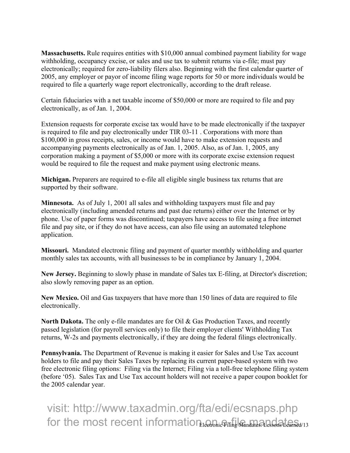Massachusetts. Rule requires entities with \$10,000 annual combined payment liability for wage withholding, occupancy excise, or sales and use tax to submit returns via e-file; must pay electronically; required for zero-liability filers also. Beginning with the first calendar quarter of 2005, any employer or payor of income filing wage reports for 50 or more individuals would be required to file a quarterly wage report electronically, according to the draft release.

Certain fiduciaries with a net taxable income of \$50,000 or more are required to file and pay electronically, as of Jan. 1, 2004.

Extension requests for corporate excise tax would have to be made electronically if the taxpayer is required to file and pay electronically under TIR 03-11 . Corporations with more than \$100,000 in gross receipts, sales, or income would have to make extension requests and accompanying payments electronically as of Jan. 1, 2005. Also, as of Jan. 1, 2005, any corporation making a payment of \$5,000 or more with its corporate excise extension request would be required to file the request and make payment using electronic means.

Michigan. Preparers are required to e-file all eligible single business tax returns that are supported by their software.

Minnesota. As of July 1, 2001 all sales and withholding taxpayers must file and pay electronically (including amended returns and past due returns) either over the Internet or by phone. Use of paper forms was discontinued; taxpayers have access to file using a free internet file and pay site, or if they do not have access, can also file using an automated telephone application.

Missouri. Mandated electronic filing and payment of quarter monthly withholding and quarter monthly sales tax accounts, with all businesses to be in compliance by January 1, 2004.

New Jersey. Beginning to slowly phase in mandate of Sales tax E-filing, at Director's discretion; also slowly removing paper as an option.

New Mexico. Oil and Gas taxpayers that have more than 150 lines of data are required to file electronically.

North Dakota. The only e-file mandates are for Oil & Gas Production Taxes, and recently passed legislation (for payroll services only) to file their employer clients' Withholding Tax returns, W-2s and payments electronically, if they are doing the federal filings electronically.

Pennsylvania. The Department of Revenue is making it easier for Sales and Use Tax account holders to file and pay their Sales Taxes by replacing its current paper-based system with two free electronic filing options: Filing via the Internet; Filing via a toll-free telephone filing system (before '05). Sales Tax and Use Tax account holders will not receive a paper coupon booklet for the 2005 calendar year.

for the most recent information  $\epsilon$  ieen binder and all solid aneal  $\epsilon$  and  $\epsilon$ visit: http://www.taxadmin.org/fta/edi/ecsnaps.php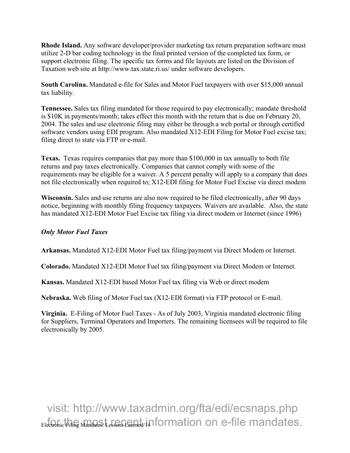Rhode Island. Any software developer/provider marketing tax return preparation software must utilize 2-D bar coding technology in the final printed version of the completed tax form, or support electronic filing. The specific tax forms and file layouts are listed on the Division of Taxation web site at http://www.tax.state.ri.us/ under software developers.

South Carolina. Mandated e-file for Sales and Motor Fuel taxpayers with over \$15,000 annual tax liability.

Tennessee. Sales tax filing mandated for those required to pay electronically; mandate threshold is \$10K in payments/month; takes effect this month with the return that is due on February 20, 2004. The sales and use electronic filing may either be through a web portal or through certified software vendors using EDI program. Also mandated X12-EDI Filing for Motor Fuel excise tax; filing direct to state via FTP or e-mail.

Texas. Texas requires companies that pay more than \$100,000 in tax annually to both file returns and pay taxes electronically. Companies that cannot comply with some of the requirements may be eligible for a waiver. A 5 percent penalty will apply to a company that does not file electronically when required to; X12-EDI filing for Motor Fuel Excise via direct modem

Wisconsin. Sales and use returns are also now required to be filed electronically, after 90 days notice, beginning with monthly filing frequency taxpayers. Waivers are available. Also, the state has mandated X12-EDI Motor Fuel Excise tax filing via direct modem or Internet (since 1996)

### *Only Motor Fuel Taxes*

Arkansas. Mandated X12-EDI Motor Fuel tax filing/payment via Direct Modem or Internet.

Colorado. Mandated X12-EDI Motor Fuel tax filing/payment via Direct Modem or Internet.

Kansas. Mandated X12-EDI based Motor Fuel tax filing via Web or direct modem

Nebraska. Web filing of Motor Fuel tax (X12-EDI format) via FTP protocol or E-mail.

Virginia. E-Filing of Motor Fuel Taxes - As of July 2003, Virginia mandated electronic filing for Suppliers, Terminal Operators and Importers. The remaining licensees will be required to file electronically by 2005.

 $_{\rm Elec}$ Filing Mandates: Lessons Coamed/Information on e-file mandates. visit: http://www.taxadmin.org/fta/edi/ecsnaps.php